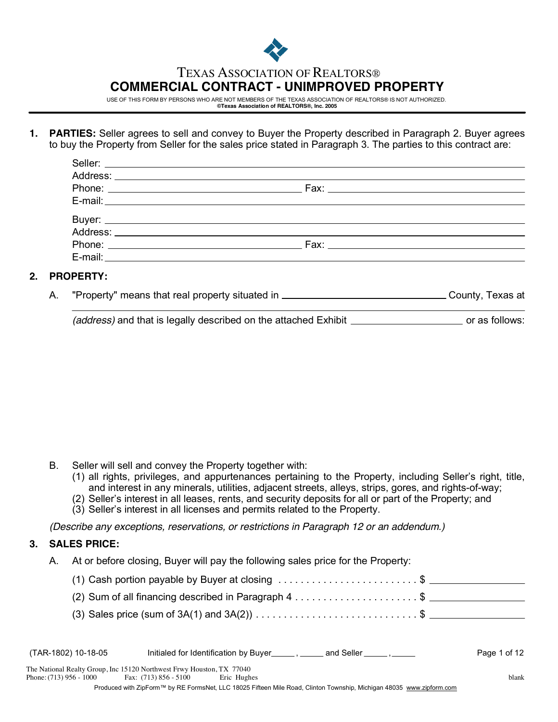

# TEXAS ASSOCIATION OF REALTORS®

# **COMMERCIAL CONTRACT - UNIMPROVED PROPERTY**

USE OF THIS FORM BY PERSONS WHO ARE NOT MEMBERS OF THE TEXAS ASSOCIATION OF REALTORS® IS NOT AUTHORIZED. **©Texas Association of REALTORS®, Inc. 2005**

**1. PARTIES:** Seller agrees to sell and convey to Buyer the Property described in Paragraph 2. Buyer agrees to buy the Property from Seller for the sales price stated in Paragraph 3. The parties to this contract are:

## **2. PROPERTY:**

"Property" means that real property situated in \_\_\_\_\_\_\_\_\_\_\_\_\_\_\_\_\_\_\_\_\_\_\_\_\_\_\_\_\_\_\_\_\_\_County, Texas at A.

*(address)* and that is legally described on the attached Exhibit **contain the same of as follows:** 

- B. Seller will sell and convey the Property together with:
	- (1) all rights, privileges, and appurtenances pertaining to the Property, including Seller's right, title, and interest in any minerals, utilities, adjacent streets, alleys, strips, gores, and rights-of-way;
	- (2) Seller's interest in all leases, rents, and security deposits for all or part of the Property; and
	- (3) Seller's interest in all licenses and permits related to the Property.

*(Describe any exceptions, reservations, or restrictions in Paragraph 12 or an addendum.)*

#### **SALES PRICE: 3.**

A. At or before closing, Buyer will pay the following sales price for the Property:

| (1) Cash portion payable by Buyer at closing $\dots\dots\dots\dots\dots\dots\dots$ \$ __________________ |  |
|----------------------------------------------------------------------------------------------------------|--|
| (2) Sum of all financing described in Paragraph 4 \$                                                     |  |
|                                                                                                          |  |

| (TAR-1802) 10-18-05                                                                              |                       | Initialed for Identification by Buyer________ | and Seller ______, _____ | Page 1 of 12 |
|--------------------------------------------------------------------------------------------------|-----------------------|-----------------------------------------------|--------------------------|--------------|
| The National Realty Group, Inc 15120 Northwest Frwy Houston, TX 77040<br>Phone: (713) 956 - 1000 | Fax: (713) 856 - 5100 | Eric Hughes                                   |                          | blank        |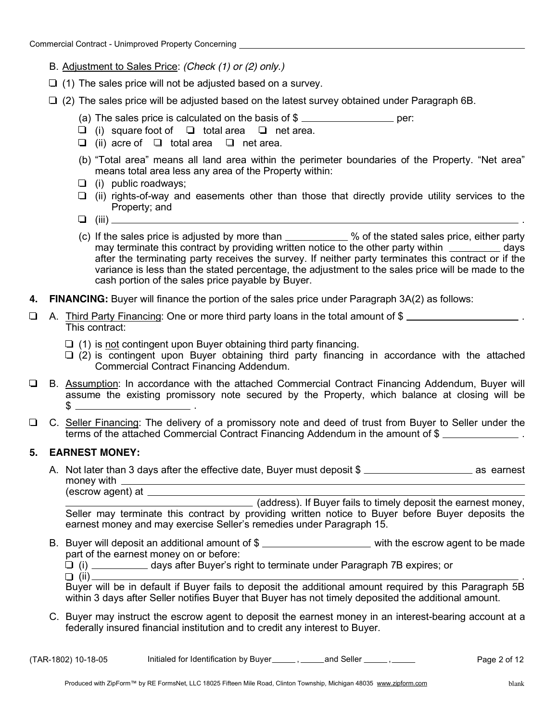- B. Adjustment to Sales Price: *(Check (1) or (2) only.)*
- $\Box$  (1) The sales price will not be adjusted based on a survey.
- $\Box$  (2) The sales price will be adjusted based on the latest survey obtained under Paragraph 6B.
	- (a) The sales price is calculated on the basis of  $\frac{1}{2}$  per:
	- (i) square foot of  $\Box$  total area  $\Box$  net area.
	- (ii) acre of  $\Box$  total area  $\Box$  net area.
	- (b) "Total area" means all land area within the perimeter boundaries of the Property. "Net area" means total area less any area of the Property within:
	- $\Box$  (i) public roadways;
	- $\Box$  (ii) rights-of-way and easements other than those that directly provide utility services to the Property; and
	- (iii)
	- (c) If the sales price is adjusted by more than  $\_\_\_\_\_\_$ % of the stated sales price, either party may terminate this contract by providing written notice to the other party within  $\frac{1}{1}$  days after the terminating party receives the survey. If neither party terminates this contract or if the variance is less than the stated percentage, the adjustment to the sales price will be made to the cash portion of the sales price payable by Buyer.
- **4. FINANCING:** Buyer will finance the portion of the sales price under Paragraph 3A(2) as follows:
- □ A. Third Party Financing: One or more third party loans in the total amount of \$ This contract:
	- $\Box$  (1) is not contingent upon Buyer obtaining third party financing.
	- $\Box$  (2) is contingent upon Buyer obtaining third party financing in accordance with the attached Commercial Contract Financing Addendum.
- $\Box$ B. Assumption: In accordance with the attached Commercial Contract Financing Addendum, Buyer will assume the existing promissory note secured by the Property, which balance at closing will be . \$
- $\Box$ C. Seller Financing: The delivery of a promissory note and deed of trust from Buyer to Seller under the terms of the attached Commercial Contract Financing Addendum in the amount of \$

#### **5. EARNEST MONEY:**

A. Not later than 3 days after the effective date, Buyer must deposit \$ money with \_\_ <u> 1989 - Johann Barbara, martxa eta idazlea (h. 1989).</u>

(escrow agent) at (address). If Buyer fails to timely deposit the earnest money, Seller may terminate this contract by providing written notice to Buyer before Buyer deposits the earnest money and may exercise Seller's remedies under Paragraph 15.

- B. Buyer will deposit an additional amount of \$ \_\_\_\_\_\_\_\_\_\_\_\_\_\_\_\_\_\_\_\_\_\_\_ with the escrow agent to be made part of the earnest money on or before:
	- $\Box$  (i) \_\_\_\_\_\_\_\_\_\_\_ days after Buyer's right to terminate under Paragraph 7B expires; or (ii) .

Buyer will be in default if Buyer fails to deposit the additional amount required by this Paragraph 5B within 3 days after Seller notifies Buyer that Buyer has not timely deposited the additional amount.

C. Buyer may instruct the escrow agent to deposit the earnest money in an interest-bearing account at a federally insured financial institution and to credit any interest to Buyer.

| (TAR-1802) 10-18-05 | Initialed for Identification by Buver | and Seller | Page 2 of 12 |
|---------------------|---------------------------------------|------------|--------------|
|---------------------|---------------------------------------|------------|--------------|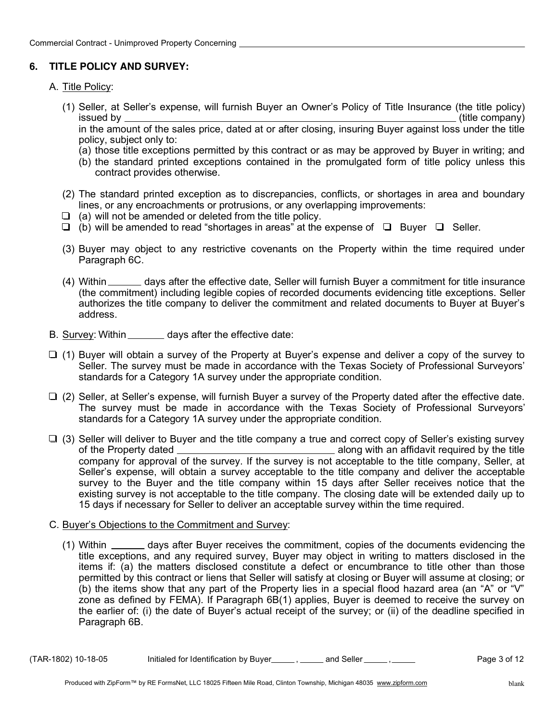## **6. TITLE POLICY AND SURVEY:**

## A. Title Policy:

(1) Seller, at Seller's expense, will furnish Buyer an Owner's Policy of Title Insurance (the title policy) issued by (title company)

in the amount of the sales price, dated at or after closing, insuring Buyer against loss under the title policy, subject only to:

- (a) those title exceptions permitted by this contract or as may be approved by Buyer in writing; and
- (b) the standard printed exceptions contained in the promulgated form of title policy unless this contract provides otherwise.
- (2) The standard printed exception as to discrepancies, conflicts, or shortages in area and boundary lines, or any encroachments or protrusions, or any overlapping improvements:
- $\Box$  (a) will not be amended or deleted from the title policy.
- $\Box$  (b) will be amended to read "shortages in areas" at the expense of  $\Box$  Buyer  $\Box$  Seller.
- (3) Buyer may object to any restrictive covenants on the Property within the time required under Paragraph 6C.
- (4) Within \_\_\_\_\_\_ days after the effective date, Seller will furnish Buyer a commitment for title insurance (the commitment) including legible copies of recorded documents evidencing title exceptions. Seller authorizes the title company to deliver the commitment and related documents to Buyer at Buyer's address.
- B. Survey: Within \_\_\_\_\_\_\_\_ days after the effective date:
- $\Box$  (1) Buyer will obtain a survey of the Property at Buyer's expense and deliver a copy of the survey to Seller. The survey must be made in accordance with the Texas Society of Professional Surveyors' standards for a Category 1A survey under the appropriate condition.
- $\Box$  (2) Seller, at Seller's expense, will furnish Buyer a survey of the Property dated after the effective date. The survey must be made in accordance with the Texas Society of Professional Surveyors' standards for a Category 1A survey under the appropriate condition.
- $\Box$  (3) Seller will deliver to Buyer and the title company a true and correct copy of Seller's existing survey **EXECUTE:** Along with an affidavit required by the title of the Property dated company for approval of the survey. If the survey is not acceptable to the title company, Seller, at Seller's expense, will obtain a survey acceptable to the title company and deliver the acceptable survey to the Buyer and the title company within 15 days after Seller receives notice that the existing survey is not acceptable to the title company. The closing date will be extended daily up to 15 days if necessary for Seller to deliver an acceptable survey within the time required.
- C. Buyer's Objections to the Commitment and Survey:
	- (1) Within \_\_\_\_\_\_\_ days after Buyer receives the commitment, copies of the documents evidencing the title exceptions, and any required survey, Buyer may object in writing to matters disclosed in the items if: (a) the matters disclosed constitute a defect or encumbrance to title other than those permitted by this contract or liens that Seller will satisfy at closing or Buyer will assume at closing; or (b) the items show that any part of the Property lies in a special flood hazard area (an "A" or "V" zone as defined by FEMA). If Paragraph 6B(1) applies, Buyer is deemed to receive the survey on the earlier of: (i) the date of Buyer's actual receipt of the survey; or (ii) of the deadline specified in Paragraph 6B.

 $(TAR-1802)$  10-18-05 Initialed for Identification by Buyer  $\frac{1}{\sqrt{2}}$ ,  $\frac{1}{\sqrt{2}}$  and Seller  $\frac{1}{\sqrt{2}}$ ,  $\frac{1}{\sqrt{2}}$  Page 3 of 12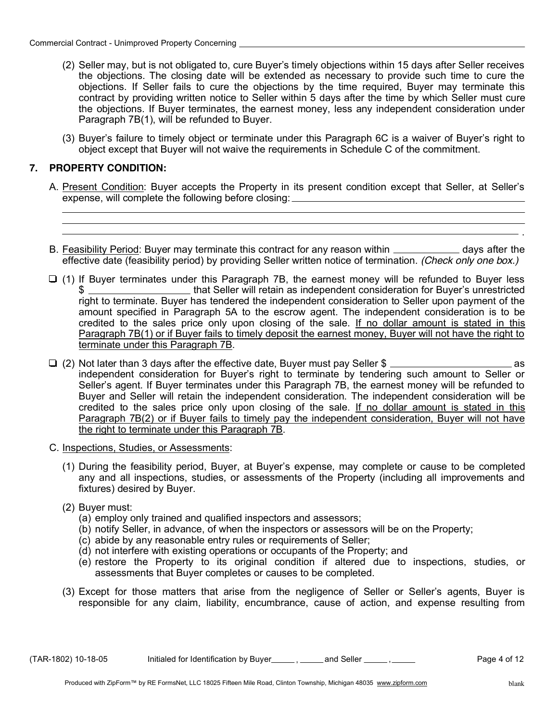- (2) Seller may, but is not obligated to, cure Buyer's timely objections within 15 days after Seller receives the objections. The closing date will be extended as necessary to provide such time to cure the objections. If Seller fails to cure the objections by the time required, Buyer may terminate this contract by providing written notice to Seller within 5 days after the time by which Seller must cure the objections. If Buyer terminates, the earnest money, less any independent consideration under Paragraph 7B(1), will be refunded to Buyer.
- (3) Buyer's failure to timely object or terminate under this Paragraph 6C is a waiver of Buyer's right to object except that Buyer will not waive the requirements in Schedule C of the commitment.

#### **7. PROPERTY CONDITION:**

- A. Present Condition: Buyer accepts the Property in its present condition except that Seller, at Seller's expense, will complete the following before closing:
- B. Feasibility Period: Buyer may terminate this contract for any reason within \_\_\_\_\_\_\_\_\_\_\_\_\_ days after the effective date (feasibility period) by providing Seller written notice of termination. *(Check only one box.)*
- $\Box$  (1) If Buyer terminates under this Paragraph 7B, the earnest money will be refunded to Buyer less \$ \_\_\_\_\_\_\_\_\_\_\_\_\_\_\_\_\_\_\_\_\_that Seller will retain as independent consideration for Buyer's unrestricted right to terminate. Buyer has tendered the independent consideration to Seller upon payment of the amount specified in Paragraph 5A to the escrow agent. The independent consideration is to be credited to the sales price only upon closing of the sale. If no dollar amount is stated in this Paragraph 7B(1) or if Buyer fails to timely deposit the earnest money, Buyer will not have the right to terminate under this Paragraph 7B.
- (2) Not later than 3 days after the effective date, Buyer must pay Seller \$ as independent consideration for Buyer's right to terminate by tendering such amount to Seller or Seller's agent. If Buyer terminates under this Paragraph 7B, the earnest money will be refunded to Buyer and Seller will retain the independent consideration. The independent consideration will be credited to the sales price only upon closing of the sale. If no dollar amount is stated in this Paragraph 7B(2) or if Buyer fails to timely pay the independent consideration, Buyer will not have the right to terminate under this Paragraph 7B.
- C. Inspections, Studies, or Assessments:
	- (1) During the feasibility period, Buyer, at Buyer's expense, may complete or cause to be completed any and all inspections, studies, or assessments of the Property (including all improvements and fixtures) desired by Buyer.
	- (2) Buyer must:
		- (a) employ only trained and qualified inspectors and assessors;
		- (b) notify Seller, in advance, of when the inspectors or assessors will be on the Property;
		- (c) abide by any reasonable entry rules or requirements of Seller;
		- (d) not interfere with existing operations or occupants of the Property; and
		- (e) restore the Property to its original condition if altered due to inspections, studies, or assessments that Buyer completes or causes to be completed.
	- (3) Except for those matters that arise from the negligence of Seller or Seller's agents, Buyer is responsible for any claim, liability, encumbrance, cause of action, and expense resulting from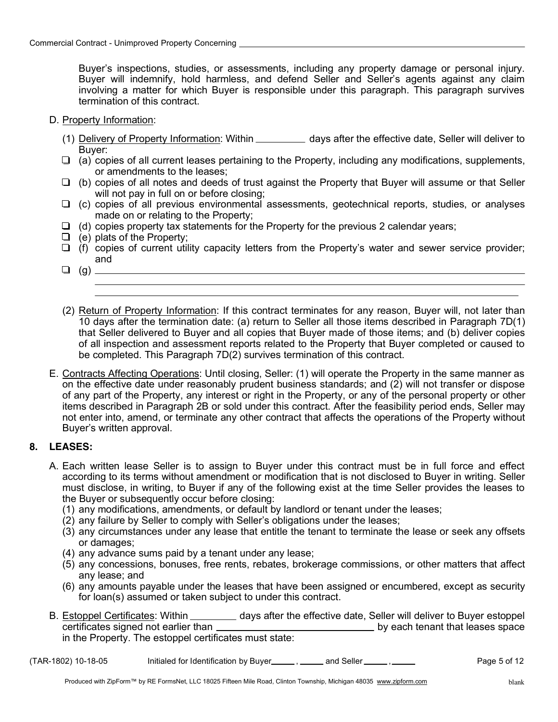Buyer's inspections, studies, or assessments, including any property damage or personal injury. Buyer will indemnify, hold harmless, and defend Seller and Seller's agents against any claim involving a matter for which Buyer is responsible under this paragraph. This paragraph survives termination of this contract.

#### D. Property Information:

- (1) Delivery of Property Information: Within \_\_\_\_\_\_\_\_\_\_\_ days after the effective date, Seller will deliver to Buyer:
- $\Box$  (a) copies of all current leases pertaining to the Property, including any modifications, supplements, or amendments to the leases;
- $\Box$  (b) copies of all notes and deeds of trust against the Property that Buyer will assume or that Seller will not pay in full on or before closing;
- $\Box$  (c) copies of all previous environmental assessments, geotechnical reports, studies, or analyses made on or relating to the Property;
- $\Box$  (d) copies property tax statements for the Property for the previous 2 calendar years;
- $\Box$  (e) plats of the Property;
- $\Box$  (f) copies of current utility capacity letters from the Property's water and sewer service provider; and
- (g)
- (2) Return of Property Information: If this contract terminates for any reason, Buyer will, not later than 10 days after the termination date: (a) return to Seller all those items described in Paragraph 7D(1) that Seller delivered to Buyer and all copies that Buyer made of those items; and (b) deliver copies of all inspection and assessment reports related to the Property that Buyer completed or caused to be completed. This Paragraph 7D(2) survives termination of this contract.
- E. Contracts Affecting Operations: Until closing, Seller: (1) will operate the Property in the same manner as on the effective date under reasonably prudent business standards; and (2) will not transfer or dispose of any part of the Property, any interest or right in the Property, or any of the personal property or other items described in Paragraph 2B or sold under this contract. After the feasibility period ends, Seller may not enter into, amend, or terminate any other contract that affects the operations of the Property without Buyer's written approval.

## **8. LEASES:**

- A. Each written lease Seller is to assign to Buyer under this contract must be in full force and effect according to its terms without amendment or modification that is not disclosed to Buyer in writing. Seller must disclose, in writing, to Buyer if any of the following exist at the time Seller provides the leases to the Buyer or subsequently occur before closing:
	- (1) any modifications, amendments, or default by landlord or tenant under the leases;
	- (2) any failure by Seller to comply with Seller's obligations under the leases;
	- (3) any circumstances under any lease that entitle the tenant to terminate the lease or seek any offsets or damages;
	- (4) any advance sums paid by a tenant under any lease;
	- (5) any concessions, bonuses, free rents, rebates, brokerage commissions, or other matters that affect any lease; and
	- (6) any amounts payable under the leases that have been assigned or encumbered, except as security for loan(s) assumed or taken subject to under this contract.
- B. Estoppel Certificates: Within \_\_\_\_\_\_\_\_ days after the effective date, Seller will deliver to Buyer estoppel certificates signed not earlier than **by each tenant that leases space** in the Property. The estoppel certificates must state:
- $(TAR-1802)$  10-18-05 Initialed for Identification by Buyer  $\frac{1}{\sqrt{2}}$  and Seller  $\frac{1}{\sqrt{2}}$ ,  $\frac{1}{\sqrt{2}}$  Page 5 of 12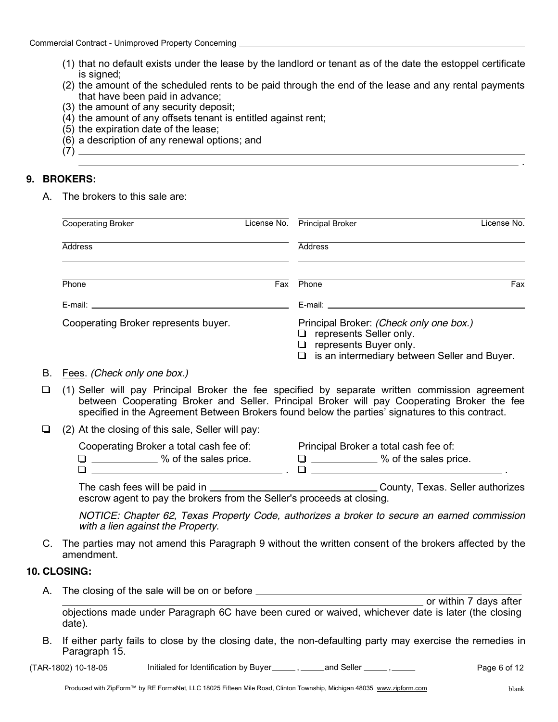- (1) that no default exists under the lease by the landlord or tenant as of the date the estoppel certificate is signed;
- (2) the amount of the scheduled rents to be paid through the end of the lease and any rental payments that have been paid in advance;
- (3) the amount of any security deposit;
- (4) the amount of any offsets tenant is entitled against rent;
- (5) the expiration date of the lease;
- (6) a description of any renewal options; and

## **9. BROKERS:**

A. The brokers to this sale are:

(7)

| <b>Cooperating Broker</b>                                                                                                                                                                                                                                                           | License No. | <b>Principal Broker</b>                                                                                                                                                                                                        | License No. |
|-------------------------------------------------------------------------------------------------------------------------------------------------------------------------------------------------------------------------------------------------------------------------------------|-------------|--------------------------------------------------------------------------------------------------------------------------------------------------------------------------------------------------------------------------------|-------------|
| Address                                                                                                                                                                                                                                                                             |             | <b>Address</b>                                                                                                                                                                                                                 |             |
| Phone                                                                                                                                                                                                                                                                               | Fax         | Phone                                                                                                                                                                                                                          | Fax         |
| E-mail: $\sqrt{2}$ and $\sqrt{2}$ and $\sqrt{2}$ and $\sqrt{2}$ and $\sqrt{2}$ and $\sqrt{2}$ and $\sqrt{2}$ and $\sqrt{2}$ and $\sqrt{2}$ and $\sqrt{2}$ and $\sqrt{2}$ and $\sqrt{2}$ and $\sqrt{2}$ and $\sqrt{2}$ and $\sqrt{2}$ and $\sqrt{2}$ and $\sqrt{2}$ and $\sqrt{2}$ a |             | E-mail: E-mail: E-mail: E-mail: E-mail: E-mail: E-mail: E-mail: E-mail: E-mail: E-mail: E-mail: E-mail: E-mail: E-mail: E-mail: E-mail: E-mail: E-mail: E-mail: E-mail: E-mail: E-mail: E-mail: E-mail: E-mail: E-mail: E-mail |             |
| Cooperating Broker represents buyer.                                                                                                                                                                                                                                                |             | Principal Broker: (Check only one box.)<br>represents Seller only.<br>represents Buyer only.<br>$\Box$ is an intermediary between Seller and Buyer.                                                                            |             |

- B. Fees. *(Check only one box.)*
- $\Box$  (1) Seller will pay Principal Broker the fee specified by separate written commission agreement between Cooperating Broker and Seller. Principal Broker will pay Cooperating Broker the fee specified in the Agreement Between Brokers found below the parties' signatures to this contract.
- $\Box$  (2) At the closing of this sale, Seller will pay:

| Cooperating Broker a total cash fee of: | Principal Broker a total cash fee of: |
|-----------------------------------------|---------------------------------------|
| % of the sales price.                   | % of the sales price.                 |
|                                         |                                       |

The cash fees will be paid in County, Texas. Seller authorizes escrow agent to pay the brokers from the Seller's proceeds at closing.

*NOTICE: Chapter 62, Texas Property Code, authorizes a broker to secure an earned commission with a lien against the Property.*

C. The parties may not amend this Paragraph 9 without the written consent of the brokers affected by the amendment.

#### **10. CLOSING:**

A. The closing of the sale will be on or before \_\_\_\_\_\_\_\_\_\_\_\_\_\_\_\_\_\_\_\_\_\_\_\_\_\_\_\_\_\_\_\_

**COLOGY** Or within 7 days after objections made under Paragraph 6C have been cured or waived, whichever date is later (the closing date).

B. If either party fails to close by the closing date, the non-defaulting party may exercise the remedies in Paragraph 15.

 $(TAR-1802)$  10-18-05 Initialed for Identification by Buyer  $\frac{1}{\sqrt{2}}$  and Seller  $\frac{1}{\sqrt{2}}$ ,  $\frac{1}{\sqrt{2}}$  Page 6 of 12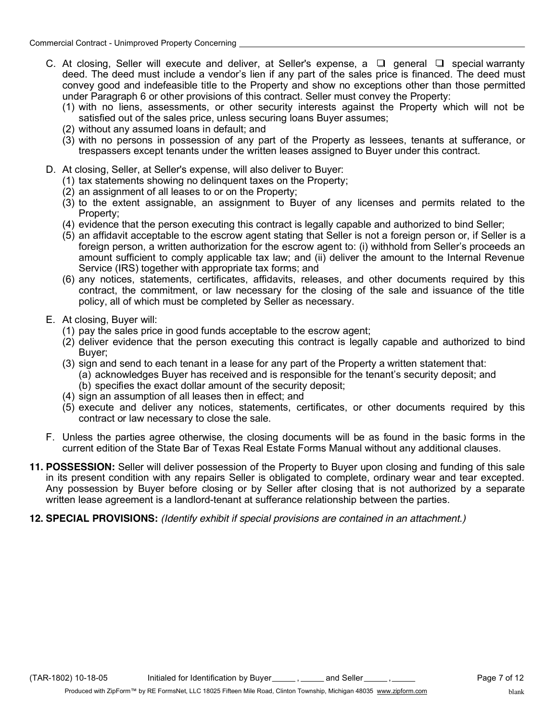- C. At closing, Seller will execute and deliver, at Seller's expense, a  $\Box$  general  $\Box$  special warranty deed. The deed must include a vendor's lien if any part of the sales price is financed. The deed must convey good and indefeasible title to the Property and show no exceptions other than those permitted under Paragraph 6 or other provisions of this contract. Seller must convey the Property:
	- (1) with no liens, assessments, or other security interests against the Property which will not be satisfied out of the sales price, unless securing loans Buyer assumes;
	- (2) without any assumed loans in default; and
	- (3) with no persons in possession of any part of the Property as lessees, tenants at sufferance, or trespassers except tenants under the written leases assigned to Buyer under this contract.
- D. At closing, Seller, at Seller's expense, will also deliver to Buyer:
	- (1) tax statements showing no delinquent taxes on the Property;
	- (2) an assignment of all leases to or on the Property;
	- (3) to the extent assignable, an assignment to Buyer of any licenses and permits related to the Property;
	- (4) evidence that the person executing this contract is legally capable and authorized to bind Seller;
	- (5) an affidavit acceptable to the escrow agent stating that Seller is not a foreign person or, if Seller is a foreign person, a written authorization for the escrow agent to: (i) withhold from Seller's proceeds an amount sufficient to comply applicable tax law; and (ii) deliver the amount to the Internal Revenue Service (IRS) together with appropriate tax forms; and
	- (6) any notices, statements, certificates, affidavits, releases, and other documents required by this contract, the commitment, or law necessary for the closing of the sale and issuance of the title policy, all of which must be completed by Seller as necessary.
- E. At closing, Buyer will:
	- (1) pay the sales price in good funds acceptable to the escrow agent;
	- (2) deliver evidence that the person executing this contract is legally capable and authorized to bind Buyer;
	- (3) sign and send to each tenant in a lease for any part of the Property a written statement that: (a) acknowledges Buyer has received and is responsible for the tenant's security deposit; and
		- (b) specifies the exact dollar amount of the security deposit;
	- (4) sign an assumption of all leases then in effect; and
	- (5) execute and deliver any notices, statements, certificates, or other documents required by this contract or law necessary to close the sale.
- F. Unless the parties agree otherwise, the closing documents will be as found in the basic forms in the current edition of the State Bar of Texas Real Estate Forms Manual without any additional clauses.
- **11. POSSESSION:** Seller will deliver possession of the Property to Buyer upon closing and funding of this sale in its present condition with any repairs Seller is obligated to complete, ordinary wear and tear excepted. Any possession by Buyer before closing or by Seller after closing that is not authorized by a separate written lease agreement is a landlord-tenant at sufferance relationship between the parties.

## **12. SPECIAL PROVISIONS:** *(Identify exhibit if special provisions are contained in an attachment.)*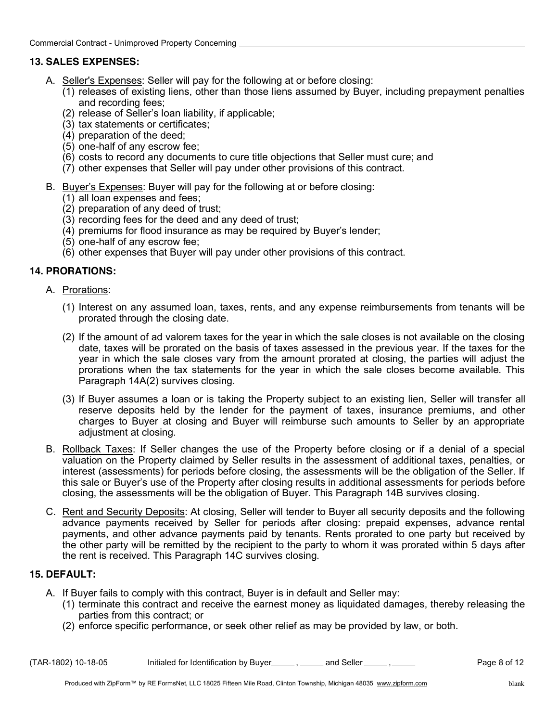# **13. SALES EXPENSES:**

- A. Seller's Expenses: Seller will pay for the following at or before closing:
	- $(1)$  releases of existing liens, other than those liens assumed by Buyer, including prepayment penalties and recording fees;
	- (2) release of Seller's loan liability, if applicable;
	- (3) tax statements or certificates;
	- (4) preparation of the deed;
	- (5) one-half of any escrow fee;
	- (6) costs to record any documents to cure title objections that Seller must cure; and
	- (7) other expenses that Seller will pay under other provisions of this contract.
- B. Buyer's Expenses: Buyer will pay for the following at or before closing:
	- (1) all loan expenses and fees;
	- (2) preparation of any deed of trust;
	- (3) recording fees for the deed and any deed of trust;
	- (4) premiums for flood insurance as may be required by Buyer's lender;
	- (5) one-half of any escrow fee;
	- (6) other expenses that Buyer will pay under other provisions of this contract.

## **14. PRORATIONS:**

- A. Prorations:
	- (1) Interest on any assumed loan, taxes, rents, and any expense reimbursements from tenants will be prorated through the closing date.
	- (2) If the amount of ad valorem taxes for the year in which the sale closes is not available on the closing date, taxes will be prorated on the basis of taxes assessed in the previous year. If the taxes for the year in which the sale closes vary from the amount prorated at closing, the parties will adjust the prorations when the tax statements for the year in which the sale closes become available. This Paragraph 14A(2) survives closing.
	- (3) If Buyer assumes a loan or is taking the Property subject to an existing lien, Seller will transfer all reserve deposits held by the lender for the payment of taxes, insurance premiums, and other charges to Buyer at closing and Buyer will reimburse such amounts to Seller by an appropriate adjustment at closing.
- B. Rollback Taxes: If Seller changes the use of the Property before closing or if a denial of a special valuation on the Property claimed by Seller results in the assessment of additional taxes, penalties, or interest (assessments) for periods before closing, the assessments will be the obligation of the Seller. If this sale or Buyer's use of the Property after closing results in additional assessments for periods before closing, the assessments will be the obligation of Buyer. This Paragraph 14B survives closing.
- C. Rent and Security Deposits: At closing, Seller will tender to Buyer all security deposits and the following advance payments received by Seller for periods after closing: prepaid expenses, advance rental payments, and other advance payments paid by tenants. Rents prorated to one party but received by the other party will be remitted by the recipient to the party to whom it was prorated within 5 days after the rent is received. This Paragraph 14C survives closing.

## **15. DEFAULT:**

- A. If Buyer fails to comply with this contract, Buyer is in default and Seller may:
	- (1) terminate this contract and receive the earnest money as liquidated damages, thereby releasing the parties from this contract; or
	- (2) enforce specific performance, or seek other relief as may be provided by law, or both.

 $(TAR-1802)$  10-18-05 Initialed for Identification by Buyer  $\frac{1}{\sqrt{2}}$  and Seller  $\frac{1}{\sqrt{2}}$ ,  $\frac{1}{\sqrt{2}}$  Page 8 of 12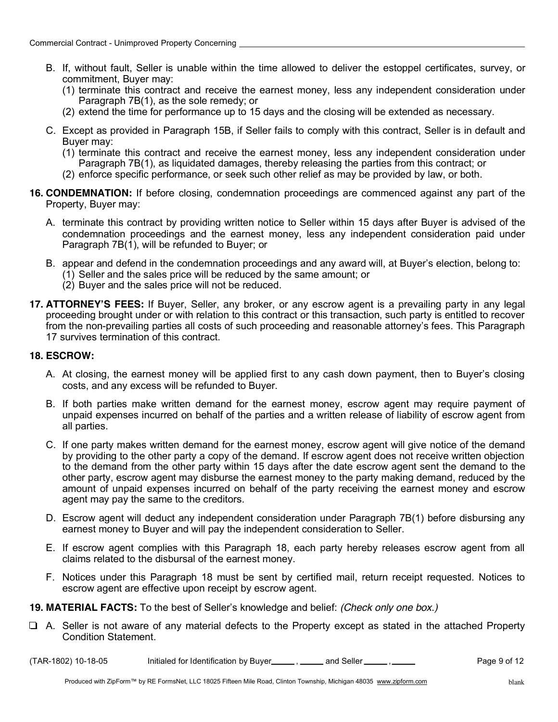- B. If, without fault, Seller is unable within the time allowed to deliver the estoppel certificates, survey, or commitment, Buyer may:
	- (1) terminate this contract and receive the earnest money, less any independent consideration under Paragraph 7B(1), as the sole remedy; or
	- (2) extend the time for performance up to 15 days and the closing will be extended as necessary.
- C. Except as provided in Paragraph 15B, if Seller fails to comply with this contract, Seller is in default and Buyer may:
	- (1) terminate this contract and receive the earnest money, less any independent consideration under Paragraph 7B(1), as liquidated damages, thereby releasing the parties from this contract; or
	- (2) enforce specific performance, or seek such other relief as may be provided by law, or both.
- **16. CONDEMNATION:** If before closing, condemnation proceedings are commenced against any part of the Property, Buyer may:
	- A. terminate this contract by providing written notice to Seller within 15 days after Buyer is advised of the condemnation proceedings and the earnest money, less any independent consideration paid under Paragraph 7B(1), will be refunded to Buyer; or
	- B. appear and defend in the condemnation proceedings and any award will, at Buyer's election, belong to:
		- (1) Seller and the sales price will be reduced by the same amount; or
		- (2) Buyer and the sales price will not be reduced.
- **17. ATTORNEY'S FEES:** If Buyer, Seller, any broker, or any escrow agent is a prevailing party in any legal proceeding brought under or with relation to this contract or this transaction, such party is entitled to recover from the non-prevailing parties all costs of such proceeding and reasonable attorney's fees. This Paragraph 17 survives termination of this contract.

#### **18. ESCROW:**

- A. At closing, the earnest money will be applied first to any cash down payment, then to Buyer's closing costs, and any excess will be refunded to Buyer.
- B. If both parties make written demand for the earnest money, escrow agent may require payment of unpaid expenses incurred on behalf of the parties and a written release of liability of escrow agent from all parties.
- C. If one party makes written demand for the earnest money, escrow agent will give notice of the demand by providing to the other party a copy of the demand. If escrow agent does not receive written objection to the demand from the other party within 15 days after the date escrow agent sent the demand to the other party, escrow agent may disburse the earnest money to the party making demand, reduced by the amount of unpaid expenses incurred on behalf of the party receiving the earnest money and escrow agent may pay the same to the creditors.
- D. Escrow agent will deduct any independent consideration under Paragraph 7B(1) before disbursing any earnest money to Buyer and will pay the independent consideration to Seller.
- E. If escrow agent complies with this Paragraph 18, each party hereby releases escrow agent from all claims related to the disbursal of the earnest money.
- F. Notices under this Paragraph 18 must be sent by certified mail, return receipt requested. Notices to escrow agent are effective upon receipt by escrow agent.
- **19. MATERIAL FACTS:** To the best of Seller's knowledge and belief: *(Check only one box.)*
- $\Box$  A. Seller is not aware of any material defects to the Property except as stated in the attached Property Condition Statement.
- $(TAR-1802)$  10-18-05 Initialed for Identification by Buyer  $\frac{1}{\sqrt{2}}$  and Seller  $\frac{1}{\sqrt{2}}$ ,  $\frac{1}{\sqrt{2}}$  Page 9 of 12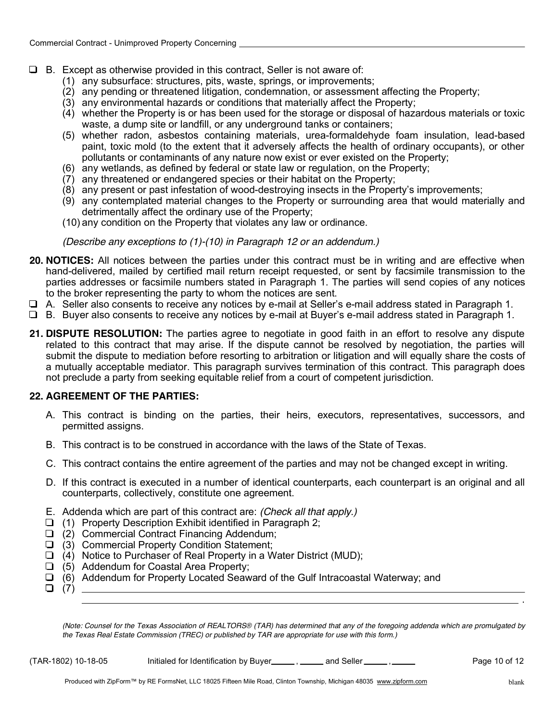- $\Box$  B. Except as otherwise provided in this contract, Seller is not aware of:
	- (1) any subsurface: structures, pits, waste, springs, or improvements;
	- (2) any pending or threatened litigation, condemnation, or assessment affecting the Property;
	- (3) any environmental hazards or conditions that materially affect the Property;
	- (4) whether the Property is or has been used for the storage or disposal of hazardous materials or toxic waste, a dump site or landfill, or any underground tanks or containers;
	- (5) whether radon, asbestos containing materials, urea-formaldehyde foam insulation, lead-based paint, toxic mold (to the extent that it adversely affects the health of ordinary occupants), or other pollutants or contaminants of any nature now exist or ever existed on the Property;
	- (6) any wetlands, as defined by federal or state law or regulation, on the Property;
	- (7) any threatened or endangered species or their habitat on the Property;
	- (8) any present or past infestation of wood-destroying insects in the Property's improvements;
	- (9) any contemplated material changes to the Property or surrounding area that would materially and detrimentally affect the ordinary use of the Property;
	- (10) any condition on the Property that violates any law or ordinance.

*(Describe any exceptions to (1)-(10) in Paragraph 12 or an addendum.)*

- **20. NOTICES:** All notices between the parties under this contract must be in writing and are effective when hand-delivered, mailed by certified mail return receipt requested, or sent by facsimile transmission to the parties addresses or facsimile numbers stated in Paragraph 1. The parties will send copies of any notices to the broker representing the party to whom the notices are sent.
- A. Seller also consents to receive any notices by e-mail at Seller's e-mail address stated in Paragraph 1.
- B. Buyer also consents to receive any notices by e-mail at Buyer's e-mail address stated in Paragraph 1.
- **21. DISPUTE RESOLUTION:** The parties agree to negotiate in good faith in an effort to resolve any dispute related to this contract that may arise. If the dispute cannot be resolved by negotiation, the parties will submit the dispute to mediation before resorting to arbitration or litigation and will equally share the costs of a mutually acceptable mediator. This paragraph survives termination of this contract. This paragraph does not preclude a party from seeking equitable relief from a court of competent jurisdiction.

## **22. AGREEMENT OF THE PARTIES:**

- A. This contract is binding on the parties, their heirs, executors, representatives, successors, and permitted assigns.
- B. This contract is to be construed in accordance with the laws of the State of Texas.
- C. This contract contains the entire agreement of the parties and may not be changed except in writing.
- D. If this contract is executed in a number of identical counterparts, each counterpart is an original and all counterparts, collectively, constitute one agreement.
- E. Addenda which are part of this contract are: *(Check all that apply.)*
- $\Box$  (1) Property Description Exhibit identified in Paragraph 2;
- $\Box$  (2) Commercial Contract Financing Addendum;
- $\Box$  (3) Commercial Property Condition Statement;
- $\Box$  (4) Notice to Purchaser of Real Property in a Water District (MUD);
- $\Box$  (5) Addendum for Coastal Area Property;
- $\Box$  (6) Addendum for Property Located Seaward of the Gulf Intracoastal Waterway; and
- $\Box$  (7)  $\Box$

*(Note: Counsel for the Texas Association of REALTORS® (TAR) has determined that any of the foregoing addenda which are promulgated by the Texas Real Estate Commission (TREC) or published by TAR are appropriate for use with this form.)*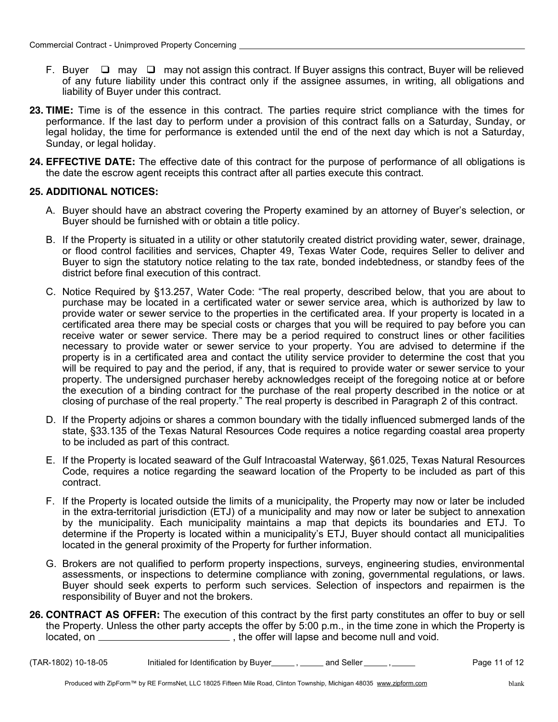- F. Buyer  $\Box$  may  $\Box$  may not assign this contract. If Buyer assigns this contract, Buyer will be relieved of any future liability under this contract only if the assignee assumes, in writing, all obligations and liability of Buyer under this contract.
- **23. TIME:** Time is of the essence in this contract. The parties require strict compliance with the times for performance. If the last day to perform under a provision of this contract falls on a Saturday, Sunday, or legal holiday, the time for performance is extended until the end of the next day which is not a Saturday, Sunday, or legal holiday.
- **24. EFFECTIVE DATE:** The effective date of this contract for the purpose of performance of all obligations is the date the escrow agent receipts this contract after all parties execute this contract.

#### **25. ADDITIONAL NOTICES:**

- A. Buyer should have an abstract covering the Property examined by an attorney of Buyer's selection, or Buyer should be furnished with or obtain a title policy.
- B. If the Property is situated in a utility or other statutorily created district providing water, sewer, drainage, or flood control facilities and services, Chapter 49, Texas Water Code, requires Seller to deliver and Buyer to sign the statutory notice relating to the tax rate, bonded indebtedness, or standby fees of the district before final execution of this contract.
- C. Notice Required by §13.257, Water Code: "The real property, described below, that you are about to purchase may be located in a certificated water or sewer service area, which is authorized by law to provide water or sewer service to the properties in the certificated area. If your property is located in a certificated area there may be special costs or charges that you will be required to pay before you can receive water or sewer service. There may be a period required to construct lines or other facilities necessary to provide water or sewer service to your property. You are advised to determine if the property is in a certificated area and contact the utility service provider to determine the cost that you will be required to pay and the period, if any, that is required to provide water or sewer service to your property. The undersigned purchaser hereby acknowledges receipt of the foregoing notice at or before the execution of a binding contract for the purchase of the real property described in the notice or at closing of purchase of the real property." The real property is described in Paragraph 2 of this contract.
- D. If the Property adjoins or shares a common boundary with the tidally influenced submerged lands of the state, §33.135 of the Texas Natural Resources Code requires a notice regarding coastal area property to be included as part of this contract.
- E. If the Property is located seaward of the Gulf Intracoastal Waterway, §61.025, Texas Natural Resources Code, requires a notice regarding the seaward location of the Property to be included as part of this contract.
- F. If the Property is located outside the limits of a municipality, the Property may now or later be included in the extra-territorial jurisdiction (ETJ) of a municipality and may now or later be subject to annexation by the municipality. Each municipality maintains a map that depicts its boundaries and ETJ. To determine if the Property is located within a municipality's ETJ, Buyer should contact all municipalities located in the general proximity of the Property for further information.
- G. Brokers are not qualified to perform property inspections, surveys, engineering studies, environmental assessments, or inspections to determine compliance with zoning, governmental regulations, or laws. Buyer should seek experts to perform such services. Selection of inspectors and repairmen is the responsibility of Buyer and not the brokers.
- **26. CONTRACT AS OFFER:** The execution of this contract by the first party constitutes an offer to buy or sell the Property. Unless the other party accepts the offer by 5:00 p.m., in the time zone in which the Property is located, on  $\frac{1}{\sqrt{1-\frac{1}{\sqrt{1-\frac{1}{\sqrt{1-\frac{1}{\sqrt{1-\frac{1}{\sqrt{1-\frac{1}{\sqrt{1-\frac{1}{\sqrt{1-\frac{1}{\sqrt{1-\frac{1}{\sqrt{1-\frac{1}{\sqrt{1-\frac{1}{\sqrt{1-\frac{1}{\sqrt{1-\frac{1}{\sqrt{1-\frac{1}{\sqrt{1-\frac{1}{\sqrt{1-\frac{1}{\sqrt{1-\frac{1}{\sqrt{1-\frac{1}{\sqrt{1-\frac{1}{\sqrt{1-\frac{1}{\sqrt{1-\frac{1}{\sqrt{1-\frac{1}{\sqrt{1-\frac{1}{\sqrt{1-\frac$

 $(TAR-1802)$  10-18-05 Initialed for Identification by Buyer  $\frac{1}{\sqrt{2}}$  and Seller  $\frac{1}{\sqrt{2}}$ ,  $\frac{1}{\sqrt{2}}$  Page 11 of 12